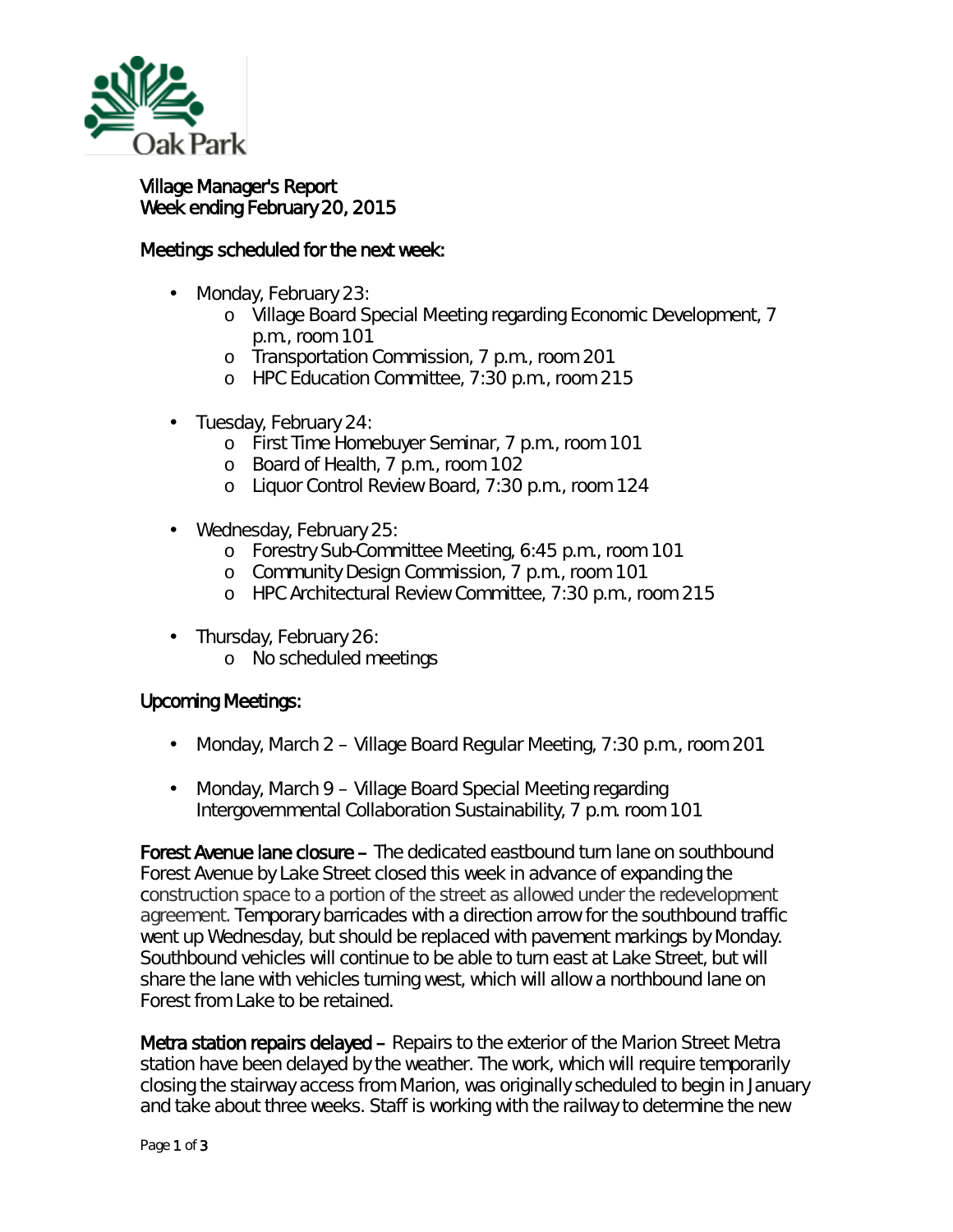

## Village Manager's Report Week ending February 20, 2015

## Meetings scheduled for the next week:

- Monday, February 23:
	- o Village Board Special Meeting regarding Economic Development, 7 p.m., room 101
	- o Transportation Commission, 7 p.m., room 201
	- o HPC Education Committee, 7:30 p.m., room 215
- Tuesday, February 24:
	- o First Time Homebuyer Seminar, 7 p.m., room 101
	- o Board of Health, 7 p.m., room 102
	- o Liquor Control Review Board, 7:30 p.m., room 124
- Wednesday, February 25:
	- o Forestry Sub-Committee Meeting, 6:45 p.m., room 101
	- o Community Design Commission, 7 p.m., room 101
	- o HPC Architectural Review Committee, 7:30 p.m., room 215
- Thursday, February 26:  $\mathbf{r}$ 
	- o No scheduled meetings

## Upcoming Meetings:

- Monday, March 2 Village Board Regular Meeting, 7:30 p.m., room 201  $\mathbf{r}^{\prime}$
- Monday, March 9 Village Board Special Meeting regarding  $\mathbf{r}$  . Intergovernmental Collaboration Sustainability, 7 p.m. room 101

Forest Avenue lane closure – The dedicated eastbound turn lane on southbound Forest Avenue by Lake Street closed this week in advance of expanding the construction space to a portion of the street as allowed under the redevelopment agreement. Temporary barricades with a direction arrow for the southbound traffic went up Wednesday, but should be replaced with pavement markings by Monday. Southbound vehicles will continue to be able to turn east at Lake Street, but will share the lane with vehicles turning west, which will allow a northbound lane on Forest from Lake to be retained.

Metra station repairs delayed – Repairs to the exterior of the Marion Street Metra station have been delayed by the weather. The work, which will require temporarily closing the stairway access from Marion, was originally scheduled to begin in January and take about three weeks. Staff is working with the railway to determine the new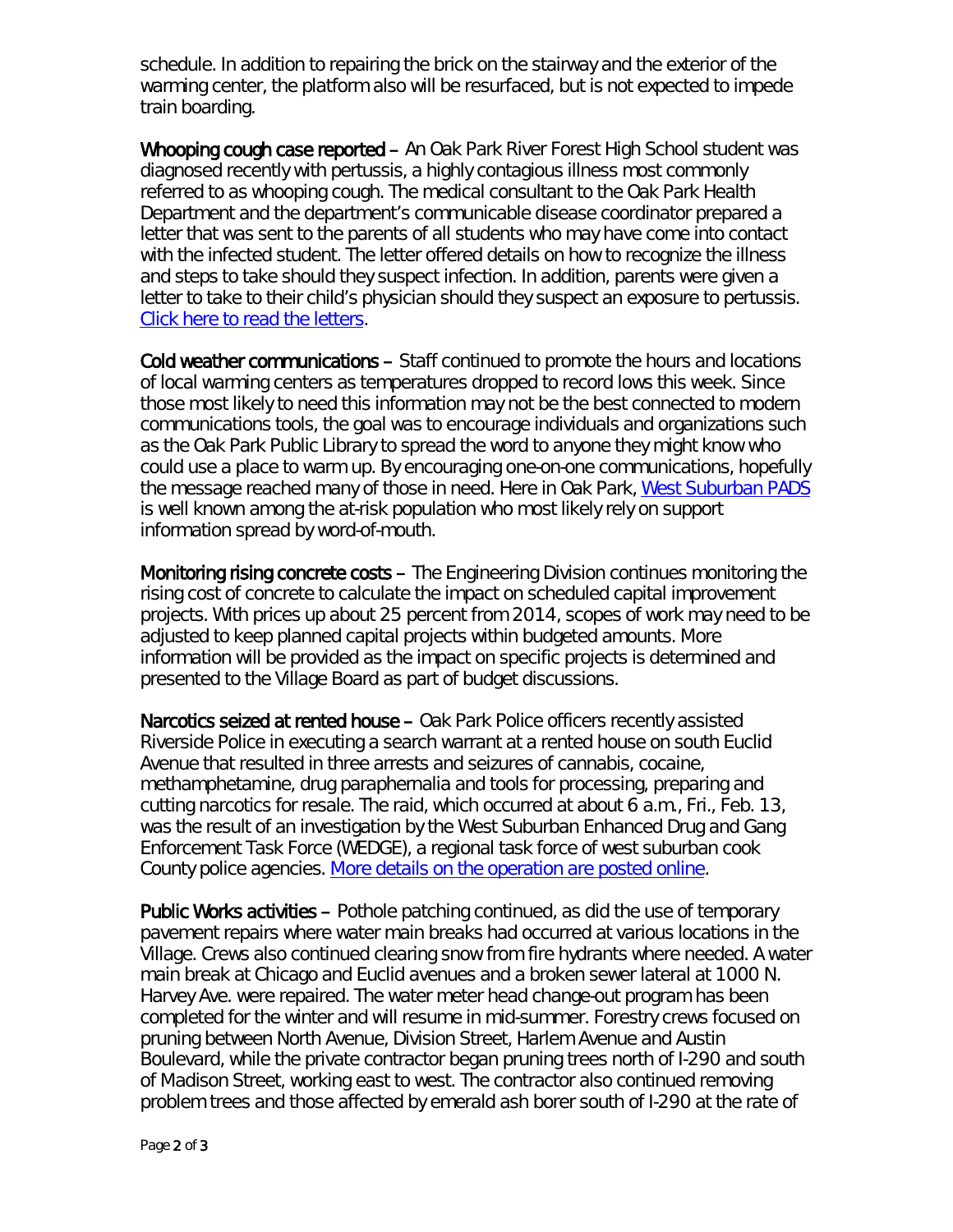schedule. In addition to repairing the brick on the stairway and the exterior of the warming center, the platform also will be resurfaced, but is not expected to impede train boarding.

Whooping cough case reported – An Oak Park River Forest High School student was diagnosed recently with pertussis, a highly contagious illness most commonly referred to as whooping cough. The medical consultant to the Oak Park Health Department and the department's communicable disease coordinator prepared a letter that was sent to the parents of all students who may have come into contact with the infected student. The letter offered details on how to recognize the illness and steps to take should they suspect infection. In addition, parents were given a letter to take to their child's physician should they suspect an exposure to pertussis. [Click here to read the letters.](http://www.oak-park.us/sites/default/files/456678891/2015-02-13-pertussis-letter.pdf)

Cold weather communications – Staff continued to promote the hours and locations of local warming centers as temperatures dropped to record lows this week. Since those most likely to need this information may not be the best connected to modern communications tools, the goal was to encourage individuals and organizations such as the Oak Park Public Library to spread the word to anyone they might know who could use a place to warm up. By encouraging one-on-one communications, hopefully the message reached many of those in need. Here in Oak Park, [West Suburban PADS](http://www.westsuburbanpads.org/get-help) is well known among the at-risk population who most likely rely on support information spread by word-of-mouth.

Monitoring rising concrete costs – The Engineering Division continues monitoring the rising cost of concrete to calculate the impact on scheduled capital improvement projects. With prices up about 25 percent from 2014, scopes of work may need to be adjusted to keep planned capital projects within budgeted amounts. More information will be provided as the impact on specific projects is determined and presented to the Village Board as part of budget discussions.

Narcotics seized at rented house – Oak Park Police officers recently assisted Riverside Police in executing a search warrant at a rented house on south Euclid Avenue that resulted in three arrests and seizures of cannabis, cocaine, methamphetamine, drug paraphernalia and tools for processing, preparing and cutting narcotics for resale. The raid, which occurred at about 6 a.m., Fri., Feb. 13, was the result of an investigation by the West Suburban Enhanced Drug and Gang Enforcement Task Force (WEDGE), a regional task force of west suburban cook County police agencies. [More details on the operation are posted online.](http://www.oak-park.us/news/suspected-drug-ring-busted-rented-house)

Public Works activities – Pothole patching continued, as did the use of temporary pavement repairs where water main breaks had occurred at various locations in the Village. Crews also continued clearing snow from fire hydrants where needed. A water main break at Chicago and Euclid avenues and a broken sewer lateral at 1000 N. Harvey Ave. were repaired. The water meter head change-out program has been completed for the winter and will resume in mid-summer. Forestry crews focused on pruning between North Avenue, Division Street, Harlem Avenue and Austin Boulevard, while the private contractor began pruning trees north of I-290 and south of Madison Street, working east to west. The contractor also continued removing problem trees and those affected by emerald ash borer south of I-290 at the rate of